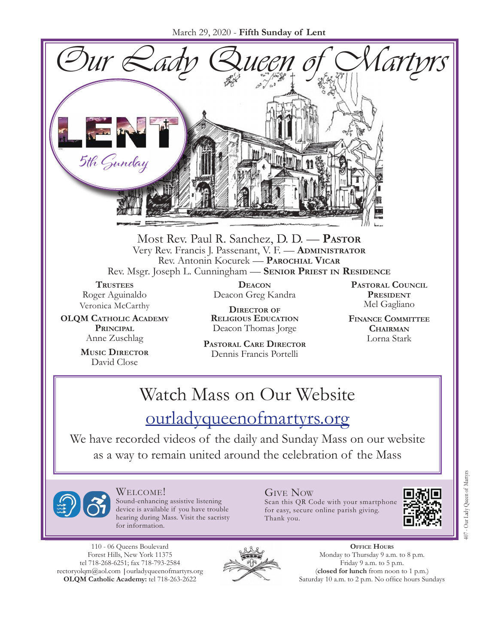

Most Rev. Paul R. Sanchez, D. D. — **Pastor** Very Rev. Francis J. Passenant, V. F. — **Administrator** Rev. Antonin Kocurek — **Parochial Vicar** Rev. Msgr. Joseph L. Cunningham — **Senior Priest in Residence**

**TRUSTEES** Roger Aguinaldo Veronica McCarthy

**OLQM Catholic Academy Principal** Anne Zuschlag

> **Music Director** David Close

**Deacon** Deacon Greg Kandra

**Director of Religious Education** Deacon Thomas Jorge

**Pastoral Care Director** Dennis Francis Portelli

**Pastoral Council President** Mel Gagliano

**Finance Committee Chairman** Lorna Stark

# Watch Mass on Our Website

## [ourladyqueenofmartyrs.org](https://ourladyqueenofmartyrs.org/)

We have recorded videos of the daily and Sunday Mass on our website as a way to remain united around the celebration of the Mass



Welcome! Sound-enhancing assistive listening device is available if you have trouble hearing during Mass. Visit the sacristy for information.

110 - 06 Queens Boulevard Forest Hills, New York 11375 tel 718-268-6251; fax 718-793-2584 [rectoryolqm@aol.com](mailto:rectoryolqm@aol.com) **|**[ourladyqueenofmartyrs.org](www.ourladyqueenofmartyrs.org) **OLQM Catholic Academy:** tel 718-263-2622



Give Now Scan this QR Code with your smartphone for easy, secure online parish giving. Thank you.



407 - Our Lady Queen of Martyrs

407 - Our Lady Queen of Martyn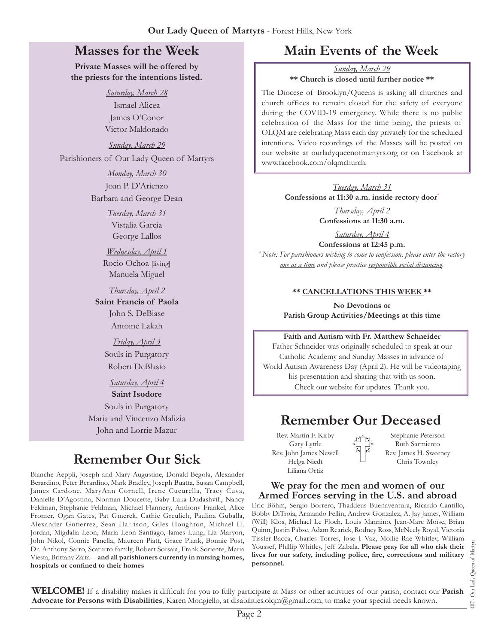### **Masses for the Week**

**Private Masses will be offered by the priests for the intentions listed.**

*Saturday, March 28*

Ismael Alicea James O'Conor Victor Maldonado

*Sunday, March 29*

Parishioners of Our Lady Queen of Martyrs

*Monday, March 30* Joan P. D'Arienzo Barbara and George Dean

> *Tuesday, March 31* Vistalia Garcia George Lallos

*Wednesday, April 1* Rocio Ochoa [living] Manuela Miguel

*Thursday, April 2* **Saint Francis of Paola** John S. DeBiase Antoine Lakah

> *Friday, April 3* Souls in Purgatory Robert DeBlasio

*Saturday, April 4* **Saint Isodore** Souls in Purgatory Maria and Vincenzo Malizia John and Lorrie Mazur

## **Remember Our Sick**

Blanche Aeppli, Joseph and Mary Augustine, Donald Begola, Alexander Berardino, Peter Berardino, Mark Bradley, Joseph Buatta, Susan Campbell, James Cardone, MaryAnn Cornell, Irene Cucurella, Tracy Cuva, Danielle D'Agostino, Norman Doucette, Baby Luka Dudashvili, Nancy Feldman, Stephanie Feldman, Michael Flannery, Anthony Frankel, Alice Fromer, Ogan Gates, Pat Gmerek, Cathie Greulich, Paulina Guballa, Alexander Gutierrez, Sean Harrison, Giles Houghton, Michael H. Jordan, Migdalia Leon, Maria Leon Santiago, James Lung, Liz Maryon, John Nikol, Connie Panella, Maureen Piatt, Grace Plank, Bonnie Post, Dr. Anthony Sarro, Scaturro family, Robert Sorsaia, Frank Soriente, Maria Viesta, Brittany Zaita—**and all parishioners currently in nursing homes, hospitals or confined to their homes**

## **Main Events of the Week**

*Sunday, March 29* **\*\* Church is closed until further notice \*\***

The Diocese of Brooklyn/Queens is asking all churches and church offices to remain closed for the safety of everyone during the COVID-19 emergency. While there is no public celebration of the Mass for the time being, the priests of OLQM are celebrating Mass each day privately for the scheduled intentions. Video recordings of the Masses will be posted on our website at [ourladyqueenofmartyrs.org](https://ourladyqueenofmartyrs.org) or on Facebook at [www.facebook.com/olqmchurch](https://www.facebook.com/olqmchurch).

> *Tuesday, March 31* **Confessions at 11:30 a.m. inside rectory door**\*

> > *Thursday, April 2* **Confessions at 11:30 a.m.**

*Saturday, April 4* **Confessions at 12:45 p.m.** *\*Note: For parishioners wishing to come to confession, please enter the rectory one at a time and please practice responsible social distancing.*

#### **\*\* CANCELLATIONS THIS WEEK \*\***

**No Devotions or Parish Group Activities/Meetings at this time**

**Faith and Autism with Fr. Matthew Schneider** Father Schneider was originally scheduled to speak at our Catholic Academy and Sunday Masses in advance of

World Autism Awareness Day (April 2). He will be videotaping his presentation and sharing that with us soon. Check our website for updates. Thank you.

### **Remember Our Deceased**

Rev. Martin F. Kirby Gary Lyttle Rev. John James Newell Helga Niedt Liliana Ortiz

Stephanie Peterson Ruth Sarmiento Rev. James H. Sweeney Chris Townley

#### **We pray for the men and women of our Armed Forces serving in the U.S. and abroad**

Eric Böhm, Sergio Borrero, Thaddeus Buenaventura, Ricardo Cantillo, Bobby DiTroia, Armando Fellin, Andrew Gonzalez, A. Jay James, William (Will) Klos, Michael Le Floch, Louis Mannino, Jean-Marc Moïse, Brian Quinn, Justin Pabse, Adam Rearick, Rodney Ross, McNeely Royal, Victoria Tissler-Bacca, Charles Torres, Jose J. Vaz, Mollie Rae Whitley, William Youssef, Phillip Whitley, Jeff Zabala. **Please pray for all who risk their lives for our safety, including police, fire, corrections and military personnel.**

**WELCOME!** If a disability makes it difficult for you to fully participate at Mass or other activities of our parish, contact our **Parish Advocate for Persons with Disabilities**, Karen Mongiello, at [disabilities.olqm@gmail.com,](mailto:disabilities.olqm@gmail.com) to make your special needs known.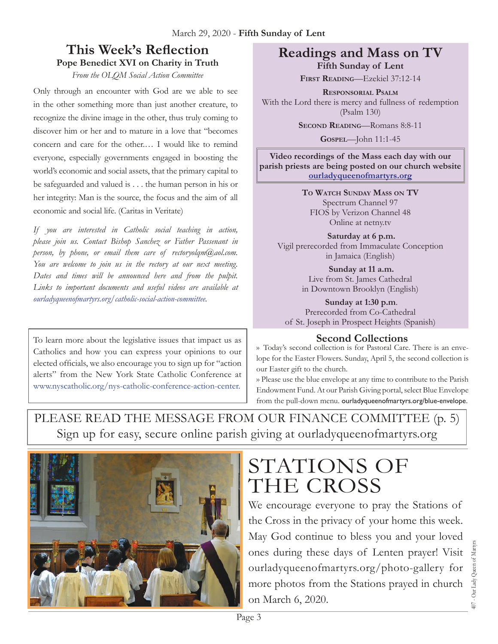#### **This Week's Reflection Pope Benedict XVI on Charity in Truth**

*From the OLQM Social Action Committee*

Only through an encounter with God are we able to see in the other something more than just another creature, to recognize the divine image in the other, thus truly coming to discover him or her and to mature in a love that "becomes concern and care for the other.… I would like to remind everyone, especially governments engaged in boosting the world's economic and social assets, that the primary capital to be safeguarded and valued is . . . the human person in his or her integrity: Man is the source, the focus and the aim of all economic and social life. (Caritas in Veritate)

*If you are interested in Catholic social teaching in action, please join us. Contact Bishop Sanchez or Father Passenant in person, by phone, or email them care of rectoryolqm@aol.com. You are welcome to join us in the rectory at our next meeting. Dates and times will be announced here and from the pulpit. Links to important documents and useful videos are available at [ourladyqueenofmartyrs.org/catholic-social-action-committee](http://ourladyqueenofmartyrs.org/catholic-social-action-committee).*

To learn more about the legislative issues that impact us as Catholics and how you can express your opinions to our elected officials, we also encourage you to sign up for "action alerts" from the New York State Catholic Conference at [www.nyscatholic.org/nys-catholic-conference-action-center](https://www.nyscatholic.org/nys-catholic-conference-action-center).

#### **Readings and Mass on TV Fifth Sunday of Lent**

**First Reading***—*Ezekiel 37:12-14

**Responsorial Psalm** With the Lord there is mercy and fullness of redemption (Psalm 130)

**Second Reading***—*Romans 8:8-11

**Gospel***—*John 11:1-45

**Video recordings of the Mass each day with our parish priests are being posted on our church website [ourladyqueenofmartyrs.org](https://ourladyqueenofmartyrs.org)**

> **To Watch Sunday Mass on TV** Spectrum Channel 97 FIOS by Verizon Channel 48 Online at <netny.tv>

**Saturday at 6 p.m.**  Vigil prerecorded from Immaculate Conception in Jamaica (English)

> **Sunday at 11 a.m.**  Live from St. James Cathedral in Downtown Brooklyn (English)

**Sunday at 1:30 p.m**. Prerecorded from Co-Cathedral of St. Joseph in Prospect Heights (Spanish)

#### **Second Collections**

›› Today's second collection is for Pastoral Care. There is an envelope for the Easter Flowers. Sunday, April 5, the second collection is our Easter gift to the church.

›› Please use the blue envelope at any time to contribute to the Parish Endowment Fund. At our Parish Giving portal, select Blue Envelope from the pull-down menu. ourladyqueenofmartyrs.org/blue-envelope.

PLEASE READ THE MESSAGE FROM OUR FINANCE COMMITTEE (p. 5) Sign up for easy, secure online parish giving at<ourladyqueenofmartyrs.org>



# STATIONS OF THE CROSS

We encourage everyone to pray the Stations of the Cross in the privacy of your home this week. May God continue to bless you and your loved ones during these days of Lenten prayer! Visit [ourladyqueenofmartyrs.org/photo-gallery](https://ourladyqueenofmartyrs.org/photo-gallery/) for more photos from the Stations prayed in church on March 6, 2020.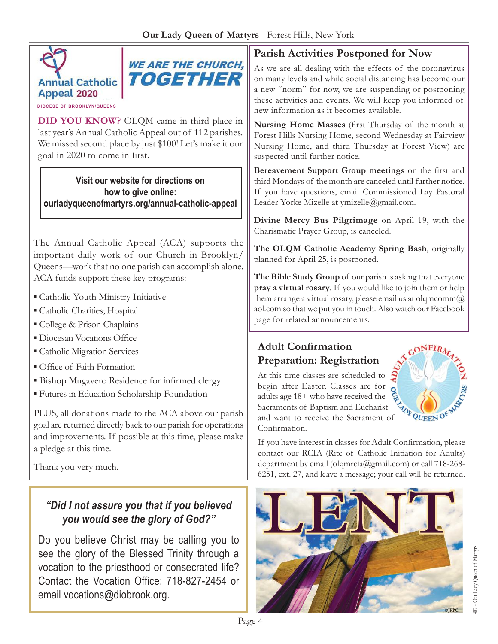



**DIOCESE OF BROOKLYN/QUEENS**

**DID YOU KNOW?** OLQM came in third place in last year's Annual Catholic Appeal out of 112 parishes. We missed second place by just \$100! Let's make it our goal in 2020 to come in first.

**Visit our website for directions on how to give online: [ourladyqueenofmartyrs.org/annual-](https://ourladyqueenofmartyrs.org/annual-catholic-appeal)catholic-appeal**

The Annual Catholic Appeal (ACA) supports the important daily work of our Church in Brooklyn/ Queens—work that no one parish can accomplish alone. ACA funds support these key programs:

- Catholic Youth Ministry Initiative
- Catholic Charities; Hospital
- College & Prison Chaplains
- **Diocesan Vocations Office**
- **Catholic Migration Services**
- Office of Faith Formation
- **E** Bishop Mugavero Residence for infirmed clergy
- Futures in Education Scholarship Foundation

PLUS, all donations made to the ACA above our parish goal are returned directly back to our parish for operations and improvements. If possible at this time, please make a pledge at this time.

Thank you very much.

### *"Did I not assure you that if you believed you would see the glory of God?"*

Do you believe Christ may be calling you to see the glory of the Blessed Trinity through a vocation to the priesthood or consecrated life? Contact the Vocation Office: 718-827-2454 or email [vocations@diobrook.org.](mailto:vocations@diobrook.org)

### **Parish Activities Postponed for Now**

As we are all dealing with the effects of the coronavirus on many levels and while social distancing has become our a new "norm" for now, we are suspending or postponing these activities and events. We will keep you informed of new information as it becomes available.

**Nursing Home Masses** (first Thursday of the month at Forest Hills Nursing Home, second Wednesday at Fairview Nursing Home, and third Thursday at Forest View) are suspected until further notice.

**Bereavement Support Group meetings** on the first and third Mondays of the month are canceled until further notice. If you have questions, email Commissioned Lay Pastoral Leader Yorke Mizelle at ymizelle@gmail.com.

**Divine Mercy Bus Pilgrimage** on April 19, with the Charismatic Prayer Group, is canceled.

**The OLQM Catholic Academy Spring Bash**, originally planned for April 25, is postponed.

**The Bible Study Group** of our parish is asking that everyone **pray a virtual rosary**. If you would like to join them or help them arrange a virtual rosary, please email us at olqmcomm $@$ [aol.com](mailto:olqmcomm@aol.com) so that we put you in touch. Also watch our Facebook page for related announcements.

### **Adult Confirmation Preparation: Registration**

At this time classes are scheduled to begin after Easter. Classes are for adults age 18+ who have received the Sacraments of Baptism and Eucharist Sacraments of Baptism and Eucharist<br>and want to receive the Sacrament of QUEEN OF Confirmation.



If you have interest in classes for Adult Confirmation, please contact our RCIA (Rite of Catholic Initiation for Adults) department by email [\(olqmrcia@gmail.com\)](mailto:olqmrcia@gmail.com) or call 718-268- 6251, ext. 27, and leave a message; your call will be returned.

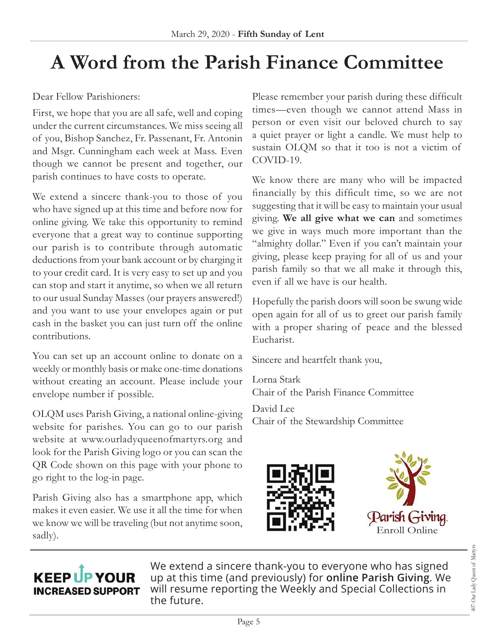# **A Word from the Parish Finance Committee**

Dear Fellow Parishioners:

First, we hope that you are all safe, well and coping under the current circumstances. We miss seeing all of you, Bishop Sanchez, Fr. Passenant, Fr. Antonin and Msgr. Cunningham each week at Mass. Even though we cannot be present and together, our parish continues to have costs to operate.

We extend a sincere thank-you to those of you who have signed up at this time and before now for online giving. We take this opportunity to remind everyone that a great way to continue supporting our parish is to contribute through automatic deductions from your bank account or by charging it to your credit card. It is very easy to set up and you can stop and start it anytime, so when we all return to our usual Sunday Masses (our prayers answered!) and you want to use your envelopes again or put cash in the basket you can just turn off the online contributions.

You can set up an account online to donate on a weekly or monthly basis or make one-time donations without creating an account. Please include your envelope number if possible.

OLQM uses Parish Giving, a national online-giving website for parishes. You can go to our parish website at [www.ourladyqueenofmartyrs.org](http://www.ourladyqueenofmartyrs.org) and look for the Parish Giving logo or you can scan the QR Code shown on this page with your phone to go right to the log-in page.

Parish Giving also has a smartphone app, which makes it even easier. We use it all the time for when we know we will be traveling (but not anytime soon, sadly).

Please remember your parish during these difficult times—even though we cannot attend Mass in person or even visit our beloved church to say a quiet prayer or light a candle. We must help to sustain OLQM so that it too is not a victim of COVID-19.

We know there are many who will be impacted financially by this difficult time, so we are not suggesting that it will be easy to maintain your usual giving. **We all give what we can** and sometimes we give in ways much more important than the "almighty dollar." Even if you can't maintain your giving, please keep praying for all of us and your parish family so that we all make it through this, even if all we have is our health.

Hopefully the parish doors will soon be swung wide open again for all of us to greet our parish family with a proper sharing of peace and the blessed Eucharist.

Sincere and heartfelt thank you,

Lorna Stark Chair of the Parish Finance Committee

David Lee Chair of the Stewardship Committee





## **KEEP UP YOUR INCREASED SUPPORT**

We extend a sincere thank-you to everyone who has signed up at this time (and previously) for **online Parish Giving**. We will resume reporting the Weekly and Special Collections in the future.